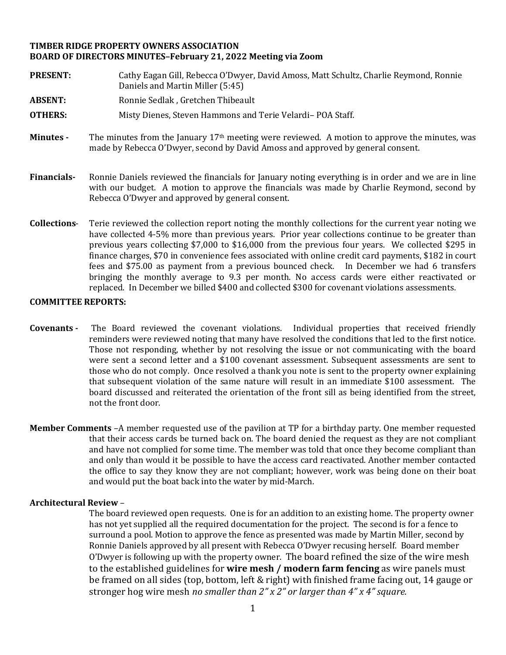## **TIMBER RIDGE PROPERTY OWNERS ASSOCIATION BOARD OF DIRECTORS MINUTES–February 21, 2022 Meeting via Zoom**

- **PRESENT:** Cathy Eagan Gill, Rebecca O'Dwyer, David Amoss, Matt Schultz, Charlie Reymond, Ronnie Daniels and Martin Miller (5:45) **ABSENT:** Ronnie Sedlak , Gretchen Thibeault **OTHERS:** Misty Dienes, Steven Hammons and Terie Velardi– POA Staff. **Minutes -** The minutes from the January 17th meeting were reviewed. A motion to approve the minutes, was made by Rebecca O'Dwyer, second by David Amoss and approved by general consent. **Financials-** Ronnie Daniels reviewed the financials for January noting everything is in order and we are in line with our budget. A motion to approve the financials was made by Charlie Reymond, second by Rebecca O'Dwyer and approved by general consent.
- **Collections** Terie reviewed the collection report noting the monthly collections for the current year noting we have collected 4-5% more than previous years. Prior year collections continue to be greater than previous years collecting \$7,000 to \$16,000 from the previous four years. We collected \$295 in finance charges, \$70 in convenience fees associated with online credit card payments, \$182 in court fees and \$75.00 as payment from a previous bounced check. In December we had 6 transfers bringing the monthly average to 9.3 per month. No access cards were either reactivated or replaced. In December we billed \$400 and collected \$300 for covenant violations assessments.

## **COMMITTEE REPORTS:**

- **Covenants -** The Board reviewed the covenant violations. Individual properties that received friendly reminders were reviewed noting that many have resolved the conditions that led to the first notice. Those not responding, whether by not resolving the issue or not communicating with the board were sent a second letter and a \$100 covenant assessment. Subsequent assessments are sent to those who do not comply. Once resolved a thank you note is sent to the property owner explaining that subsequent violation of the same nature will result in an immediate \$100 assessment. The board discussed and reiterated the orientation of the front sill as being identified from the street, not the front door.
- **Member Comments** –A member requested use of the pavilion at TP for a birthday party. One member requested that their access cards be turned back on. The board denied the request as they are not compliant and have not complied for some time. The member was told that once they become compliant than and only than would it be possible to have the access card reactivated. Another member contacted the office to say they know they are not compliant; however, work was being done on their boat and would put the boat back into the water by mid-March.

## **Architectural Review** –

The board reviewed open requests. One is for an addition to an existing home. The property owner has not yet supplied all the required documentation for the project. The second is for a fence to surround a pool. Motion to approve the fence as presented was made by Martin Miller, second by Ronnie Daniels approved by all present with Rebecca O'Dwyer recusing herself. Board member O'Dwyer is following up with the property owner. The board refined the size of the wire mesh to the established guidelines for **wire mesh / modern farm fencing** as wire panels must be framed on all sides (top, bottom, left & right) with finished frame facing out, 14 gauge or stronger hog wire mesh *no smaller than 2" x 2" or larger than 4" x 4" square.*